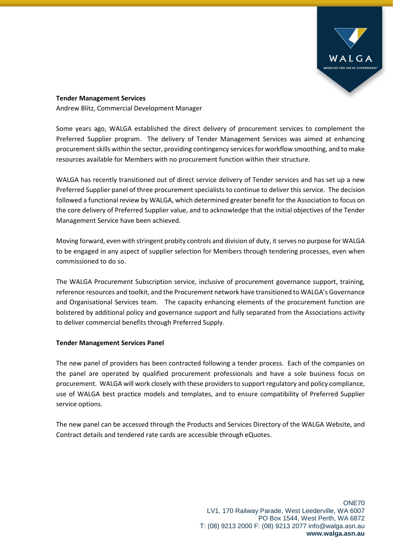

## **Tender Management Services**

Andrew Blitz, Commercial Development Manager

Some years ago, WALGA established the direct delivery of procurement services to complement the Preferred Supplier program. The delivery of Tender Management Services was aimed at enhancing procurement skills within the sector, providing contingency services for workflow smoothing, and to make resources available for Members with no procurement function within their structure.

WALGA has recently transitioned out of direct service delivery of Tender services and has set up a new Preferred Supplier panel of three procurement specialists to continue to deliver this service. The decision followed a functional review by WALGA, which determined greater benefit for the Association to focus on the core delivery of Preferred Supplier value, and to acknowledge that the initial objectives of the Tender Management Service have been achieved.

Moving forward, even with stringent probity controls and division of duty, it serves no purpose for WALGA to be engaged in any aspect of supplier selection for Members through tendering processes, even when commissioned to do so.

The WALGA Procurement Subscription service, inclusive of procurement governance support, training, reference resources and toolkit, and the Procurement network have transitioned to WALGA's Governance and Organisational Services team. The capacity enhancing elements of the procurement function are bolstered by additional policy and governance support and fully separated from the Associations activity to deliver commercial benefits through Preferred Supply.

## **Tender Management Services Panel**

The new panel of providers has been contracted following a tender process. Each of the companies on the panel are operated by qualified procurement professionals and have a sole business focus on procurement. WALGA will work closely with these providers to support regulatory and policy compliance, use of WALGA best practice models and templates, and to ensure compatibility of Preferred Supplier service options.

The new panel can be accessed through the Products and Services Directory of the WALGA Website, and Contract details and tendered rate cards are accessible through eQuotes.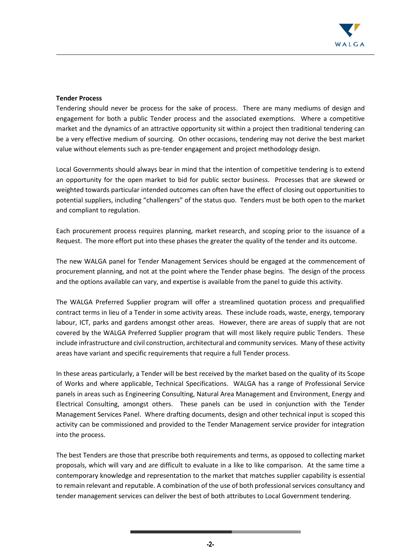

## **Tender Process**

Tendering should never be process for the sake of process. There are many mediums of design and engagement for both a public Tender process and the associated exemptions. Where a competitive market and the dynamics of an attractive opportunity sit within a project then traditional tendering can be a very effective medium of sourcing. On other occasions, tendering may not derive the best market value without elements such as pre-tender engagement and project methodology design.

Local Governments should always bear in mind that the intention of competitive tendering is to extend an opportunity for the open market to bid for public sector business. Processes that are skewed or weighted towards particular intended outcomes can often have the effect of closing out opportunities to potential suppliers, including "challengers" of the status quo. Tenders must be both open to the market and compliant to regulation.

Each procurement process requires planning, market research, and scoping prior to the issuance of a Request. The more effort put into these phases the greater the quality of the tender and its outcome.

The new WALGA panel for Tender Management Services should be engaged at the commencement of procurement planning, and not at the point where the Tender phase begins. The design of the process and the options available can vary, and expertise is available from the panel to guide this activity.

The WALGA Preferred Supplier program will offer a streamlined quotation process and prequalified contract terms in lieu of a Tender in some activity areas. These include roads, waste, energy, temporary labour, ICT, parks and gardens amongst other areas. However, there are areas of supply that are not covered by the WALGA Preferred Supplier program that will most likely require public Tenders. These include infrastructure and civil construction, architectural and community services. Many of these activity areas have variant and specific requirements that require a full Tender process.

In these areas particularly, a Tender will be best received by the market based on the quality of its Scope of Works and where applicable, Technical Specifications. WALGA has a range of Professional Service panels in areas such as Engineering Consulting, Natural Area Management and Environment, Energy and Electrical Consulting, amongst others. These panels can be used in conjunction with the Tender Management Services Panel. Where drafting documents, design and other technical input is scoped this activity can be commissioned and provided to the Tender Management service provider for integration into the process.

The best Tenders are those that prescribe both requirements and terms, as opposed to collecting market proposals, which will vary and are difficult to evaluate in a like to like comparison. At the same time a contemporary knowledge and representation to the market that matches supplier capability is essential to remain relevant and reputable. A combination of the use of both professional services consultancy and tender management services can deliver the best of both attributes to Local Government tendering.